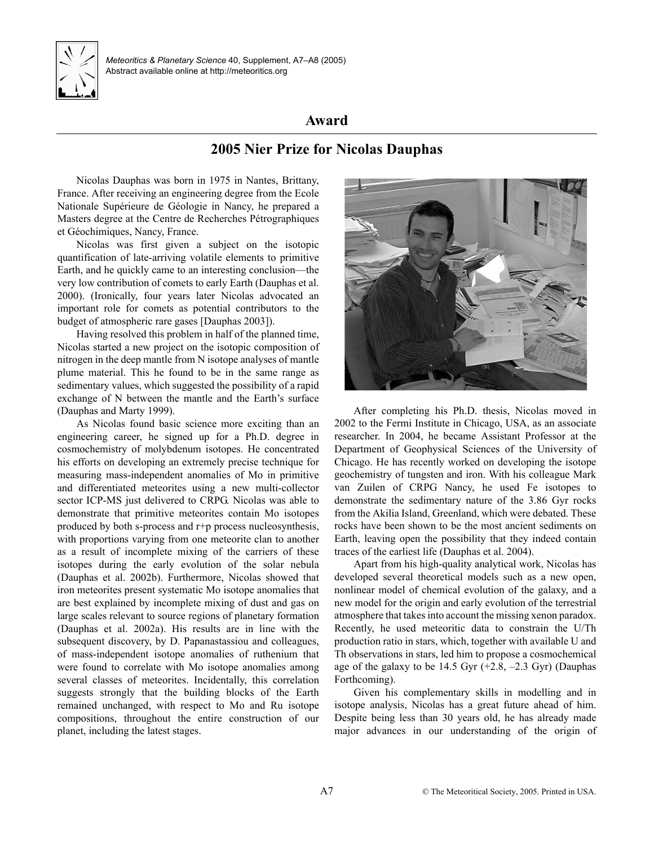

*Meteoritics & Planetary Science* 40, Supplement, A7–[A8](#page-1-0) (2005) Abstract available online at http://meteoritics.org

## **Award**

## **2005 Nier Prize for Nicolas Dauphas**

Nicolas Dauphas was born in 1975 in Nantes, Brittany, France. After receiving an engineering degree from the Ecole Nationale Supérieure de Géologie in Nancy, he prepared a Masters degree at the Centre de Recherches Pétrographiques et Géochimiques, Nancy, France.

Nicolas was first given a subject on the isotopic quantification of late-arriving volatile elements to primitive Earth, and he quickly came to an interesting conclusion—the very low contribution of comets to early Earth (Dauphas et al. 2000). (Ironically, four years later Nicolas advocated an important role for comets as potential contributors to the budget of atmospheric rare gases [Dauphas 2003]).

Having resolved this problem in half of the planned time, Nicolas started a new project on the isotopic composition of nitrogen in the deep mantle from N isotope analyses of mantle plume material. This he found to be in the same range as sedimentary values, which suggested the possibility of a rapid exchange of N between the mantle and the Earth's surface (Dauphas and Marty 1999).

As Nicolas found basic science more exciting than an engineering career, he signed up for a Ph.D. degree in cosmochemistry of molybdenum isotopes. He concentrated his efforts on developing an extremely precise technique for measuring mass-independent anomalies of Mo in primitive and differentiated meteorites using a new multi-collector sector ICP-MS just delivered to CRPG. Nicolas was able to demonstrate that primitive meteorites contain Mo isotopes produced by both s-process and r+p process nucleosynthesis, with proportions varying from one meteorite clan to another as a result of incomplete mixing of the carriers of these isotopes during the early evolution of the solar nebula (Dauphas et al. 2002b). Furthermore, Nicolas showed that iron meteorites present systematic Mo isotope anomalies that are best explained by incomplete mixing of dust and gas on large scales relevant to source regions of planetary formation (Dauphas et al. 2002a). His results are in line with the subsequent discovery, by D. Papanastassiou and colleagues, of mass-independent isotope anomalies of ruthenium that were found to correlate with Mo isotope anomalies among several classes of meteorites. Incidentally, this correlation suggests strongly that the building blocks of the Earth remained unchanged, with respect to Mo and Ru isotope compositions, throughout the entire construction of our planet, including the latest stages.



After completing his Ph.D. thesis, Nicolas moved in 2002 to the Fermi Institute in Chicago, USA, as an associate researcher. In 2004, he became Assistant Professor at the Department of Geophysical Sciences of the University of Chicago. He has recently worked on developing the isotope geochemistry of tungsten and iron. With his colleague Mark van Zuilen of CRPG Nancy, he used Fe isotopes to demonstrate the sedimentary nature of the 3.86 Gyr rocks from the Akilia Island, Greenland, which were debated. These rocks have been shown to be the most ancient sediments on Earth, leaving open the possibility that they indeed contain traces of the earliest life (Dauphas et al. 2004).

Apart from his high-quality analytical work, Nicolas has developed several theoretical models such as a new open, nonlinear model of chemical evolution of the galaxy, and a new model for the origin and early evolution of the terrestrial atmosphere that takes into account the missing xenon paradox. Recently, he used meteoritic data to constrain the U/Th production ratio in stars, which, together with available U and Th observations in stars, led him to propose a cosmochemical age of the galaxy to be 14.5 Gyr  $(+2.8, -2.3 \text{ Gyr})$  (Dauphas Forthcoming).

Given his complementary skills in modelling and in isotope analysis, Nicolas has a great future ahead of him. Despite being less than 30 years old, he has already made major advances in our understanding of the origin of